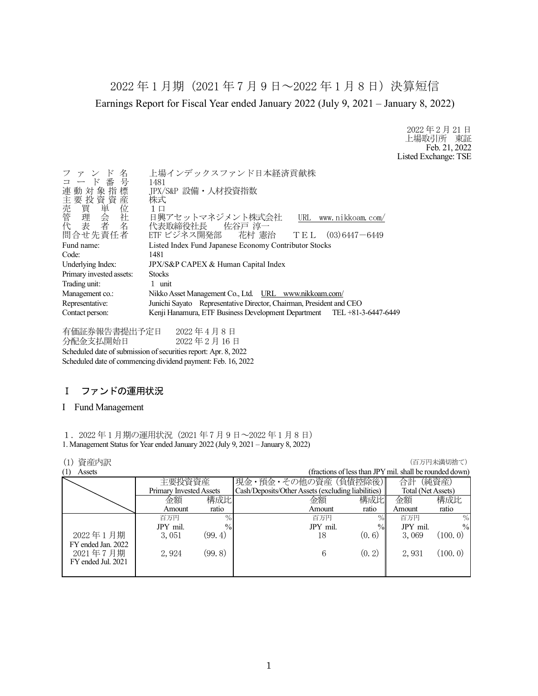2022 年 1 月期(2021 年 7 月 9 日~2022 年 1 月 8 日)決算短信 Earnings Report for Fiscal Year ended January 2022 (July 9, 2021 – January 8, 2022)

> 2022 年 2 月 21 日 上場取引所 東証 Feb. 21, 2022 Listed Exchange: TSE

| 名<br>ファン<br>コード番号        | 上場インデックスファンド日本経済貢献株<br>1481<br>JPX/S&P 設備·人材投資指数<br>株式<br>$1 \Box$<br>日興アセットマネジメント株式会社<br>URL www.nikkoam.com/ |
|--------------------------|----------------------------------------------------------------------------------------------------------------|
|                          | 代表取締役社長 佐谷戸 淳一                                                                                                 |
| 問合せ先責任者                  | ETF ビジネス開発部 花村 憲治 TEL (03)6447-6449                                                                            |
| Fund name:               | Listed Index Fund Japanese Economy Contributor Stocks                                                          |
| Code:                    | 1481                                                                                                           |
| Underlying Index:        | JPX/S&P CAPEX & Human Capital Index                                                                            |
| Primary invested assets: | <b>Stocks</b>                                                                                                  |
| Trading unit:            | 1 unit                                                                                                         |
| Management co.:          | Nikko Asset Management Co., Ltd. URL www.nikkoam.com/                                                          |
| Representative:          | Junichi Sayato Representative Director, Chairman, President and CEO                                            |
| Contact person:          | Kenji Hanamura, ETF Business Development Department TEL +81-3-6447-6449                                        |
|                          |                                                                                                                |

有価証券報告書提出予定日 2022 年 4 月 8 日 分配金支払開始日 2022 年 2 月 16 日 Scheduled date of submission of securities report: Apr. 8, 2022 Scheduled date of commencing dividend payment: Feb. 16, 2022

## Ⅰ ファンドの運用状況

### I Fund Management

1.2022 年 1 月期の運用状況(2021 年 7 月 9 日~2022 年 1 月 8 日) 1. Management Status for Year ended January 2022 (July 9, 2021 – January 8, 2022)

### **(1) 資産内訳 インフィング インフィング (1) する (1) する (1) する (1) する (1) する (1) する (1) する (1) する (**

|          |         |                                          |               | 合計                                                                                          | (純資産)                                                   |
|----------|---------|------------------------------------------|---------------|---------------------------------------------------------------------------------------------|---------------------------------------------------------|
|          |         |                                          |               | Total (Net Assets)                                                                          |                                                         |
| 金額       |         | 金額                                       |               | 金額                                                                                          | 構成比                                                     |
| Amount   | ratio   | Amount                                   | ratio         | Amount                                                                                      | ratio                                                   |
| 百万円      | $\%$    | 百万円                                      | $\%$          | 百万円                                                                                         | $\%$                                                    |
| JPY mil. |         | JPY mil.                                 | $\frac{0}{0}$ | JPY mil.                                                                                    | $\frac{0}{0}$                                           |
| 3,051    | (99, 4) | 18                                       | (0, 6)        | 3,069                                                                                       | (100, 0)                                                |
|          |         |                                          |               |                                                                                             |                                                         |
| 2,924    | (99.8)  | 6                                        |               | 2,931                                                                                       | (100.0)                                                 |
|          |         |                                          |               |                                                                                             |                                                         |
|          |         |                                          |               |                                                                                             |                                                         |
|          |         | 主要投資資産<br>Primary Invested Assets<br>構成比 | $\%$          | 現金・預金・その他の資産 (負債控除後)<br>Cash/Deposits/Other Assets (excluding liabilities)<br>構成比<br>(0, 2) | (fractions of less than JPY mil. shall be rounded down) |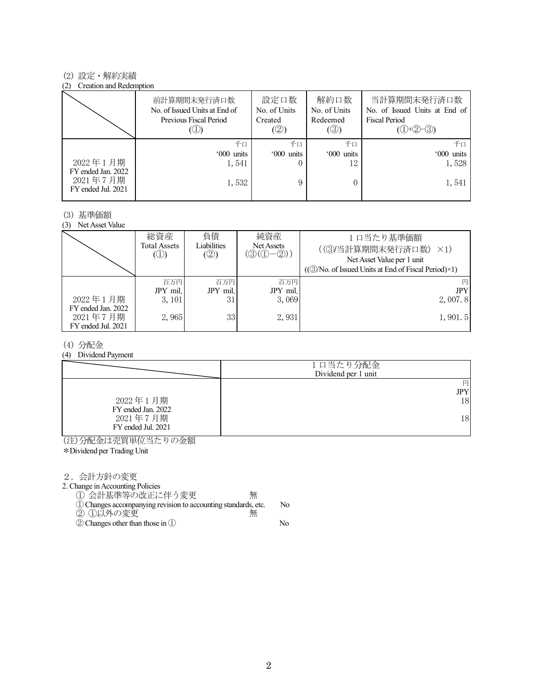#### (2) 設定・解約実績

#### (2) Creation and Redemption

|                                                      | 前計算期間末発行済口数<br>No. of Issued Units at End of<br>Previous Fiscal Period | 設定口数<br>No. of Units<br>Created<br>(②) | 解約口数<br>No. of Units<br>Redeemed<br>(③) | 当計算期間末発行済口数<br>No. of Issued Units at End of<br><b>Fiscal Period</b><br>$(①+②-③)$ |
|------------------------------------------------------|------------------------------------------------------------------------|----------------------------------------|-----------------------------------------|-----------------------------------------------------------------------------------|
|                                                      | 千口                                                                     | 千口                                     | 千口                                      | 千口                                                                                |
|                                                      | '000 units                                                             | '000 units                             | '000 units                              | '000 units                                                                        |
| 2022年1月期                                             | 1,541                                                                  |                                        |                                         | 1,528                                                                             |
| FY ended Jan. 2022<br>2021年7月期<br>FY ended Jul. 2021 | 1,532                                                                  |                                        |                                         | 1,541                                                                             |

#### (3) 基準価額

(3) Net Asset Value

|                                | 総資産<br>Total Assets<br>$\circledcirc$ | 負債<br>Liabilities<br>(②) | 純資産<br>Net Assets<br>$(\textcircled{3}(\textcircled{1}-\textcircled{2}))$ | 1口当たり基準価額<br>((3)当計算期間末発行済口数) ×1)<br>Net Asset Value per 1 unit<br>$((\textcircled{3}/No. of Issued Units at End of Fiscal Period)\times 1)$ |
|--------------------------------|---------------------------------------|--------------------------|---------------------------------------------------------------------------|----------------------------------------------------------------------------------------------------------------------------------------------|
| 2022年1月期<br>FY ended Jan. 2022 | 百万円<br>JPY mil.<br>3, 101             | 百万円<br>JPY mil.<br>31    | 百万円<br>JPY mil.<br>3.069                                                  | 円<br><b>JPY</b><br>2,007.8                                                                                                                   |
| 2021年7月期<br>FY ended Jul. 2021 | 2,965                                 | 33                       | 2,931                                                                     | 1,901.5                                                                                                                                      |

### (4) 分配金

(4) Dividend Payment

|                                | 1口当たり分配金<br>Dividend per 1 unit |
|--------------------------------|---------------------------------|
|                                | 円<br><b>JPY</b>                 |
| 2022年1月期<br>FY ended Jan. 2022 | 18                              |
| 2021年7月期<br>FY ended Jul. 2021 | 18                              |

(注)分配金は売買単位当たりの金額

\*Dividend per Trading Unit

2.会計方針の変更

2. Change in Accounting Policies

① 会計基準等の改正に伴う変更 無

①Changes accompanying revision to accounting standards, etc. No ② ①以外の変更 無

②Changes other than those in ① No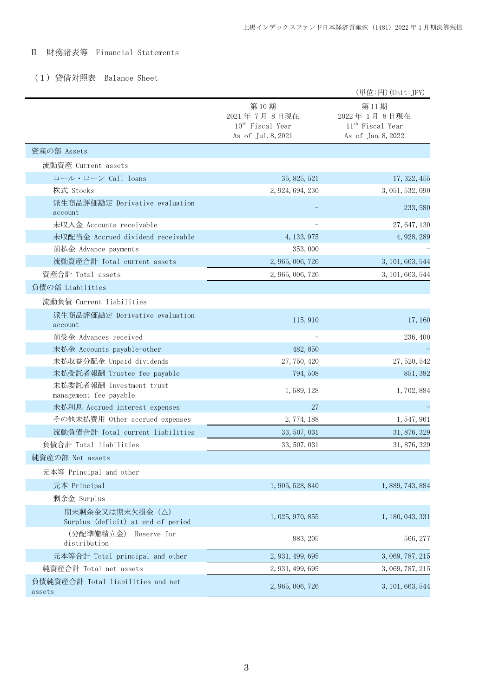# Ⅱ 財務諸表等 Financial Statements

## (1)貸借対照表 Balance Sheet

|                                                       |                                                                    | (単位:円) (Unit:JPY)                                                         |
|-------------------------------------------------------|--------------------------------------------------------------------|---------------------------------------------------------------------------|
|                                                       | 第10期<br>2021年7月8日現在<br>$10^{th}$ Fiscal Year<br>As of Jul. 8, 2021 | 第11期<br>2022年1月8日現在<br>11 <sup>th</sup> Fiscal Year<br>As of Jan. 8, 2022 |
| 資産の部 Assets                                           |                                                                    |                                                                           |
| 流動資産 Current assets                                   |                                                                    |                                                                           |
| コール・ローン Call loans                                    | 35, 825, 521                                                       | 17, 322, 455                                                              |
| 株式 Stocks                                             | 2, 924, 694, 230                                                   | 3, 051, 532, 090                                                          |
| 派生商品評価勘定 Derivative evaluation<br>account             |                                                                    | 233, 580                                                                  |
| 未収入金 Accounts receivable                              |                                                                    | 27, 647, 130                                                              |
| 未収配当金 Accrued dividend receivable                     | 4, 133, 975                                                        | 4, 928, 289                                                               |
| 前払金 Advance payments                                  | 353,000                                                            |                                                                           |
| 流動資産合計 Total current assets                           | 2, 965, 006, 726                                                   | 3, 101, 663, 544                                                          |
| 資産合計 Total assets                                     | 2, 965, 006, 726                                                   | 3, 101, 663, 544                                                          |
| 負債の部 Liabilities                                      |                                                                    |                                                                           |
| 流動負債 Current liabilities                              |                                                                    |                                                                           |
| 派生商品評価勘定 Derivative evaluation<br>account             | 115, 910                                                           | 17, 160                                                                   |
| 前受金 Advances received                                 |                                                                    | 236, 400                                                                  |
| 未払金 Accounts payable-other                            | 482, 850                                                           |                                                                           |
| 未払収益分配金 Unpaid dividends                              | 27, 750, 420                                                       | 27, 520, 542                                                              |
| 未払受託者報酬 Trustee fee payable                           | 794, 508                                                           | 851, 382                                                                  |
| 未払委託者報酬 Investment trust<br>management fee payable    | 1,589,128                                                          | 1,702,884                                                                 |
| 未払利息 Accrued interest expenses                        | 27                                                                 |                                                                           |
| その他未払費用 Other accrued expenses                        | 2, 774, 188                                                        | 1, 547, 961                                                               |
| 流動負債合計 Total current liabilities                      | 33, 507, 031                                                       | 31, 876, 329                                                              |
| 負債合計 Total liabilities                                | 33, 507, 031                                                       | 31, 876, 329                                                              |
| 純資産の部 Net assets                                      |                                                                    |                                                                           |
| 元本等 Principal and other                               |                                                                    |                                                                           |
| 元本 Principal                                          | 1, 905, 528, 840                                                   | 1, 889, 743, 884                                                          |
| 剰余金 Surplus                                           |                                                                    |                                                                           |
| 期末剰余金又は期末欠損金(△)<br>Surplus (deficit) at end of period | 1, 025, 970, 855                                                   | 1, 180, 043, 331                                                          |
| (分配準備積立金)<br>Reserve for<br>distribution              | 883, 205                                                           | 566, 277                                                                  |
| 元本等合計 Total principal and other                       | 2, 931, 499, 695                                                   | 3, 069, 787, 215                                                          |
| 純資産合計 Total net assets                                | 2, 931, 499, 695                                                   | 3, 069, 787, 215                                                          |
| 負債純資産合計 Total liabilities and net<br>assets           | 2, 965, 006, 726                                                   | 3, 101, 663, 544                                                          |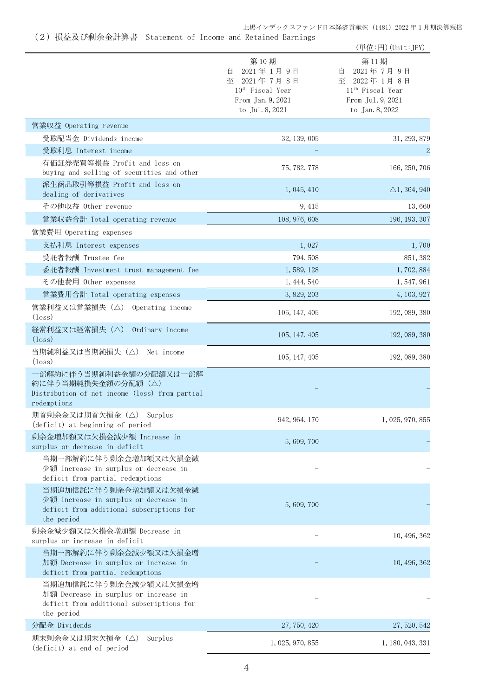上場インデックスファンド日本経済貢献株 (1481) 2022 年 1 月期決算短信

(2)損益及び剰余金計算書 Statement of Income and Retained Earnings

| 第10期<br>第11期<br>2021年1月9日<br>2021年7月9日<br>自<br>目<br>至 2021年7月8日<br>至 2022年1月8日<br>10 <sup>th</sup> Fiscal Year<br>11 <sup>th</sup> Fiscal Year<br>From Jan. 9, 2021<br>From Jul. 9, 2021<br>to Jul. 8, 2021<br>to Jan. 8, 2022<br>営業収益 Operating revenue<br>受取配当金 Dividends income<br>32, 139, 005<br>受取利息 Interest income<br>有価証券売買等損益 Profit and loss on<br>75, 782, 778<br>buying and selling of securities and other<br>派生商品取引等損益 Profit and loss on<br>1, 045, 410<br>dealing of derivatives<br>その他収益 Other revenue<br>9,415<br>営業収益合計 Total operating revenue<br>108, 976, 608<br>営業費用 Operating expenses<br>支払利息 Interest expenses<br>1,027<br>受託者報酬 Trustee fee<br>794, 508<br>委託者報酬 Investment trust management fee<br>1,589,128<br>1,702,884<br>その他費用 Other expenses<br>1, 444, 540<br>1, 547, 961<br>営業費用合計 Total operating expenses<br>3, 829, 203<br>4, 103, 927<br>営業利益又は営業損失 (△) Operating income<br>105, 147, 405<br>$(\text{loss})$<br>経常利益又は経常損失(△)<br>Ordinary income<br>105, 147, 405<br>$(\text{loss})$<br>当期純利益又は当期純損失 (△) Net income<br>105, 147, 405<br>$(\text{loss})$<br>一部解約に伴う当期純利益金額の分配額又は一部解<br>約に伴う当期純損失金額の分配額 (△)<br>Distribution of net income (loss) from partial<br>redemptions<br>期首剰余金又は期首欠損金 (△) Surplus<br>942, 964, 170<br>(deficit) at beginning of period<br>剰余金増加額又は欠損金減少額 Increase in<br>5,609,700<br>surplus or decrease in deficit<br>当期一部解約に伴う剰余金増加額又は欠損金減<br>少額 Increase in surplus or decrease in<br>deficit from partial redemptions<br>当期追加信託に伴う剰余金増加額又は欠損金減<br>少額 Increase in surplus or decrease in<br>5,609,700<br>deficit from additional subscriptions for<br>the period<br>剰余金減少額又は欠損金増加額 Decrease in<br>surplus or increase in deficit<br>当期一部解約に伴う剰余金減少額又は欠損金増<br>加額 Decrease in surplus or increase in<br>deficit from partial redemptions<br>当期追加信託に伴う剰余金減少額又は欠損金増<br>加額 Decrease in surplus or increase in<br>deficit from additional subscriptions for<br>the period |               |              | (単位:円) (Unit:JPY)       |
|-------------------------------------------------------------------------------------------------------------------------------------------------------------------------------------------------------------------------------------------------------------------------------------------------------------------------------------------------------------------------------------------------------------------------------------------------------------------------------------------------------------------------------------------------------------------------------------------------------------------------------------------------------------------------------------------------------------------------------------------------------------------------------------------------------------------------------------------------------------------------------------------------------------------------------------------------------------------------------------------------------------------------------------------------------------------------------------------------------------------------------------------------------------------------------------------------------------------------------------------------------------------------------------------------------------------------------------------------------------------------------------------------------------------------------------------------------------------------------------------------------------------------------------------------------------------------------------------------------------------------------------------------------------------------------------------------------------------------------------------------------------------------------------------------------------------------------------------------------------------------------------------------------------------------------------|---------------|--------------|-------------------------|
|                                                                                                                                                                                                                                                                                                                                                                                                                                                                                                                                                                                                                                                                                                                                                                                                                                                                                                                                                                                                                                                                                                                                                                                                                                                                                                                                                                                                                                                                                                                                                                                                                                                                                                                                                                                                                                                                                                                                     |               |              |                         |
|                                                                                                                                                                                                                                                                                                                                                                                                                                                                                                                                                                                                                                                                                                                                                                                                                                                                                                                                                                                                                                                                                                                                                                                                                                                                                                                                                                                                                                                                                                                                                                                                                                                                                                                                                                                                                                                                                                                                     |               |              |                         |
|                                                                                                                                                                                                                                                                                                                                                                                                                                                                                                                                                                                                                                                                                                                                                                                                                                                                                                                                                                                                                                                                                                                                                                                                                                                                                                                                                                                                                                                                                                                                                                                                                                                                                                                                                                                                                                                                                                                                     |               |              | 31, 293, 879            |
|                                                                                                                                                                                                                                                                                                                                                                                                                                                                                                                                                                                                                                                                                                                                                                                                                                                                                                                                                                                                                                                                                                                                                                                                                                                                                                                                                                                                                                                                                                                                                                                                                                                                                                                                                                                                                                                                                                                                     |               |              | $\overline{2}$          |
|                                                                                                                                                                                                                                                                                                                                                                                                                                                                                                                                                                                                                                                                                                                                                                                                                                                                                                                                                                                                                                                                                                                                                                                                                                                                                                                                                                                                                                                                                                                                                                                                                                                                                                                                                                                                                                                                                                                                     |               |              | 166, 250, 706           |
|                                                                                                                                                                                                                                                                                                                                                                                                                                                                                                                                                                                                                                                                                                                                                                                                                                                                                                                                                                                                                                                                                                                                                                                                                                                                                                                                                                                                                                                                                                                                                                                                                                                                                                                                                                                                                                                                                                                                     |               |              | $\triangle$ 1, 364, 940 |
|                                                                                                                                                                                                                                                                                                                                                                                                                                                                                                                                                                                                                                                                                                                                                                                                                                                                                                                                                                                                                                                                                                                                                                                                                                                                                                                                                                                                                                                                                                                                                                                                                                                                                                                                                                                                                                                                                                                                     |               |              | 13,660                  |
|                                                                                                                                                                                                                                                                                                                                                                                                                                                                                                                                                                                                                                                                                                                                                                                                                                                                                                                                                                                                                                                                                                                                                                                                                                                                                                                                                                                                                                                                                                                                                                                                                                                                                                                                                                                                                                                                                                                                     |               |              | 196, 193, 307           |
|                                                                                                                                                                                                                                                                                                                                                                                                                                                                                                                                                                                                                                                                                                                                                                                                                                                                                                                                                                                                                                                                                                                                                                                                                                                                                                                                                                                                                                                                                                                                                                                                                                                                                                                                                                                                                                                                                                                                     |               |              |                         |
|                                                                                                                                                                                                                                                                                                                                                                                                                                                                                                                                                                                                                                                                                                                                                                                                                                                                                                                                                                                                                                                                                                                                                                                                                                                                                                                                                                                                                                                                                                                                                                                                                                                                                                                                                                                                                                                                                                                                     |               |              | 1,700                   |
|                                                                                                                                                                                                                                                                                                                                                                                                                                                                                                                                                                                                                                                                                                                                                                                                                                                                                                                                                                                                                                                                                                                                                                                                                                                                                                                                                                                                                                                                                                                                                                                                                                                                                                                                                                                                                                                                                                                                     |               |              | 851, 382                |
|                                                                                                                                                                                                                                                                                                                                                                                                                                                                                                                                                                                                                                                                                                                                                                                                                                                                                                                                                                                                                                                                                                                                                                                                                                                                                                                                                                                                                                                                                                                                                                                                                                                                                                                                                                                                                                                                                                                                     |               |              |                         |
|                                                                                                                                                                                                                                                                                                                                                                                                                                                                                                                                                                                                                                                                                                                                                                                                                                                                                                                                                                                                                                                                                                                                                                                                                                                                                                                                                                                                                                                                                                                                                                                                                                                                                                                                                                                                                                                                                                                                     |               |              |                         |
|                                                                                                                                                                                                                                                                                                                                                                                                                                                                                                                                                                                                                                                                                                                                                                                                                                                                                                                                                                                                                                                                                                                                                                                                                                                                                                                                                                                                                                                                                                                                                                                                                                                                                                                                                                                                                                                                                                                                     |               |              |                         |
|                                                                                                                                                                                                                                                                                                                                                                                                                                                                                                                                                                                                                                                                                                                                                                                                                                                                                                                                                                                                                                                                                                                                                                                                                                                                                                                                                                                                                                                                                                                                                                                                                                                                                                                                                                                                                                                                                                                                     |               |              | 192, 089, 380           |
|                                                                                                                                                                                                                                                                                                                                                                                                                                                                                                                                                                                                                                                                                                                                                                                                                                                                                                                                                                                                                                                                                                                                                                                                                                                                                                                                                                                                                                                                                                                                                                                                                                                                                                                                                                                                                                                                                                                                     |               |              | 192, 089, 380           |
|                                                                                                                                                                                                                                                                                                                                                                                                                                                                                                                                                                                                                                                                                                                                                                                                                                                                                                                                                                                                                                                                                                                                                                                                                                                                                                                                                                                                                                                                                                                                                                                                                                                                                                                                                                                                                                                                                                                                     |               |              | 192, 089, 380           |
|                                                                                                                                                                                                                                                                                                                                                                                                                                                                                                                                                                                                                                                                                                                                                                                                                                                                                                                                                                                                                                                                                                                                                                                                                                                                                                                                                                                                                                                                                                                                                                                                                                                                                                                                                                                                                                                                                                                                     |               |              |                         |
|                                                                                                                                                                                                                                                                                                                                                                                                                                                                                                                                                                                                                                                                                                                                                                                                                                                                                                                                                                                                                                                                                                                                                                                                                                                                                                                                                                                                                                                                                                                                                                                                                                                                                                                                                                                                                                                                                                                                     |               |              | 1, 025, 970, 855        |
|                                                                                                                                                                                                                                                                                                                                                                                                                                                                                                                                                                                                                                                                                                                                                                                                                                                                                                                                                                                                                                                                                                                                                                                                                                                                                                                                                                                                                                                                                                                                                                                                                                                                                                                                                                                                                                                                                                                                     |               |              |                         |
|                                                                                                                                                                                                                                                                                                                                                                                                                                                                                                                                                                                                                                                                                                                                                                                                                                                                                                                                                                                                                                                                                                                                                                                                                                                                                                                                                                                                                                                                                                                                                                                                                                                                                                                                                                                                                                                                                                                                     |               |              |                         |
|                                                                                                                                                                                                                                                                                                                                                                                                                                                                                                                                                                                                                                                                                                                                                                                                                                                                                                                                                                                                                                                                                                                                                                                                                                                                                                                                                                                                                                                                                                                                                                                                                                                                                                                                                                                                                                                                                                                                     |               |              |                         |
|                                                                                                                                                                                                                                                                                                                                                                                                                                                                                                                                                                                                                                                                                                                                                                                                                                                                                                                                                                                                                                                                                                                                                                                                                                                                                                                                                                                                                                                                                                                                                                                                                                                                                                                                                                                                                                                                                                                                     |               |              | 10, 496, 362            |
|                                                                                                                                                                                                                                                                                                                                                                                                                                                                                                                                                                                                                                                                                                                                                                                                                                                                                                                                                                                                                                                                                                                                                                                                                                                                                                                                                                                                                                                                                                                                                                                                                                                                                                                                                                                                                                                                                                                                     |               |              | 10, 496, 362            |
|                                                                                                                                                                                                                                                                                                                                                                                                                                                                                                                                                                                                                                                                                                                                                                                                                                                                                                                                                                                                                                                                                                                                                                                                                                                                                                                                                                                                                                                                                                                                                                                                                                                                                                                                                                                                                                                                                                                                     |               |              |                         |
|                                                                                                                                                                                                                                                                                                                                                                                                                                                                                                                                                                                                                                                                                                                                                                                                                                                                                                                                                                                                                                                                                                                                                                                                                                                                                                                                                                                                                                                                                                                                                                                                                                                                                                                                                                                                                                                                                                                                     |               |              |                         |
| 期末剰余金又は期末欠損金(△)<br>Surplus<br>1, 025, 970, 855<br>(deficit) at end of period                                                                                                                                                                                                                                                                                                                                                                                                                                                                                                                                                                                                                                                                                                                                                                                                                                                                                                                                                                                                                                                                                                                                                                                                                                                                                                                                                                                                                                                                                                                                                                                                                                                                                                                                                                                                                                                        |               |              | 1, 180, 043, 331        |
|                                                                                                                                                                                                                                                                                                                                                                                                                                                                                                                                                                                                                                                                                                                                                                                                                                                                                                                                                                                                                                                                                                                                                                                                                                                                                                                                                                                                                                                                                                                                                                                                                                                                                                                                                                                                                                                                                                                                     | 分配金 Dividends | 27, 750, 420 | 27, 520, 542            |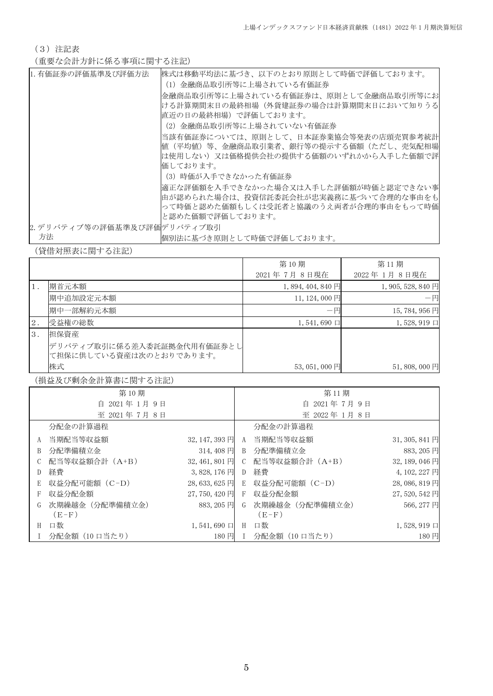(3)注記表

(重要な会計方針に係る事項に関する注記)

| 1. 有価証券の評価基準及び評価方法          | 株式は移動平均法に基づき、以下のとおり原則として時価で評価しております。  |
|-----------------------------|---------------------------------------|
|                             | (1)金融商品取引所等に上場されている有価証券               |
|                             | 金融商品取引所等に上場されている有価証券は、原則として金融商品取引所等にお |
|                             | ける計算期間末日の最終相場(外貨建証券の場合は計算期間末日において知りうる |
|                             | 直近の日の最終相場)で評価しております。                  |
|                             | (2)金融商品取引所等に上場されていない有価証券              |
|                             | 当該有価証券については、原則として、日本証券業協会等発表の店頭売買参考統計 |
|                             | 値(平均値)等、金融商品取引業者、銀行等の提示する価額(ただし、売気配相場 |
|                             | は使用しない)又は価格提供会社の提供する価額のいずれかから入手した価額で評 |
|                             | 価しております。                              |
|                             | (3) 時価が入手できなかった有価証券                   |
|                             | 適正な評価額を入手できなかった場合又は入手した評価額が時価と認定できない事 |
|                             | 由が認められた場合は、投資信託委託会社が忠実義務に基づいて合理的な事由をも |
|                             | って時価と認めた価額もしくは受託者と協議のうえ両者が合理的事由をもって時価 |
|                             | と認めた価額で評価しております。                      |
| 2. デリバティブ等の評価基準及び評価デリバティブ取引 |                                       |
| 方法                          | 悃別法に基づき原則として時価で評価しております。              |

(貸借対照表に関する注記)

|     |                            | 第10期                | 第11期               |
|-----|----------------------------|---------------------|--------------------|
|     |                            | 2021年7月8日現在         | 2022年1月8日現在        |
|     | 期首元本額                      | 1,894,404,840円      | $1,905,528,840$ 円  |
|     | 期中追加設定元本額                  | 11, 124, 000 円      | 一円                 |
|     | 期中一部解約元本額                  | $-\mathbb{H}$       | 15,784,956円        |
| 2.  | 受益権の総数                     | $1,541,690 \square$ | $1,528,919$ $\Box$ |
| -3. | 担保資産                       |                     |                    |
|     | デリバティブ取引に係る差入委託証拠金代用有価証券とし |                     |                    |
|     | て担保に供している資産は次のとおりであります。    |                     |                    |
|     | 株式                         | $53,051,000$ 円      | $51,808,000$ 円     |

(損益及び剰余金計算書に関する注記)

|   | 第10期            |                          |                 | 第11期            |                     |
|---|-----------------|--------------------------|-----------------|-----------------|---------------------|
|   | 自 2021年1月9日     |                          |                 | 2021年7月9日<br>自  |                     |
|   | 至 2021年7月8日     |                          |                 | 至 2022年1月8日     |                     |
|   | 分配金の計算過程        |                          |                 | 分配金の計算過程        |                     |
| A | 当期配当等収益額        | $32, 147, 393 \text{ H}$ | A               | 当期配当等収益額        | $31, 305, 841$ 円    |
| B | 分配準備積立金         | 314,408円                 | B               | 分配準備積立金         | 883, 205 円          |
|   | 配当等収益額合計(A+B)   | 32, 461, 801 円           | $\mathcal{C}^-$ | 配当等収益額合計(A+B)   | 32, 189, 046 円      |
| D | 経費              | 3,828,176円               | D               | 経費              | 4, 102, 227 円       |
| E | 収益分配可能額 (C-D)   | $28,633,625$ 円           | E               | 収益分配可能額 (C-D)   | 28, 086, 819 円      |
| F | 収益分配金額          | 27,750,420 円             | F               | 収益分配金額          | 27,520,542円         |
|   | 次期繰越金 (分配準備積立金) | 883, 205 円               | G               | 次期繰越金 (分配準備積立金) | 566, 277 円          |
|   | $(E-F)$         |                          |                 | $(E-F)$         |                     |
| H | 口数              | $1,541,690 \square$      | H               | 口数              | $1,528,919 \square$ |
|   | 分配金額(10 口当たり)   | 180円                     |                 | 分配金額(10 口当たり)   | 180円                |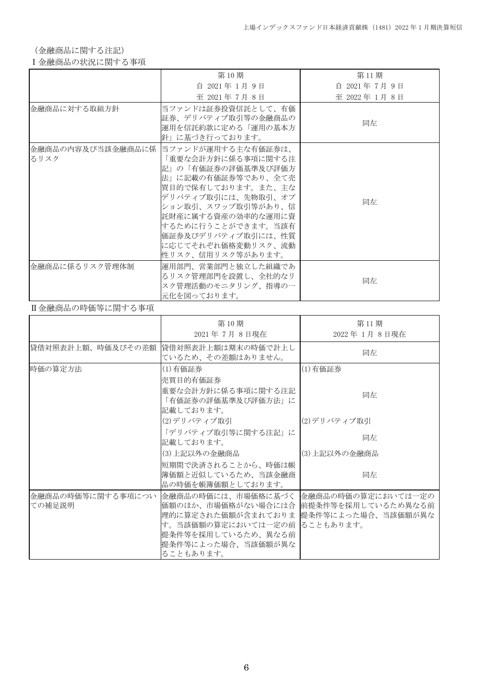(金融商品に関する注記)

### Ⅰ金融商品の状況に関する事項

|                | 第10期                                                                                                                                                                                                                                                                                     | 第11期          |
|----------------|------------------------------------------------------------------------------------------------------------------------------------------------------------------------------------------------------------------------------------------------------------------------------------------|---------------|
|                | 自 2021年 1月 9日                                                                                                                                                                                                                                                                            | 自 2021年7月9日   |
|                | 至 2021年7月8日                                                                                                                                                                                                                                                                              | 至 2022年 1月 8日 |
| 金融商品に対する取組方針   | 当ファンドは証券投資信託として、有価<br>証券、デリバティブ取引等の金融商品の<br>運用を信託約款に定める「運用の基本方<br>針」に基づき行っております。                                                                                                                                                                                                         | 同左            |
| るリスク           | 金融商品の内容及び当該金融商品に係  当ファンドが運用する主な有価証券は、<br>「重要な会計方針に係る事項に関する注<br>記」の「有価証券の評価基準及び評価方<br>法」に記載の有価証券等であり、全て売<br> 買目的で保有しております。また、主な<br>デリバティブ取引には、先物取引、オプ<br>ション取引、スワップ取引等があり、信<br>託財産に属する資産の効率的な運用に資<br> するために行うことができます。当該有<br>価証券及びデリバティブ取引には、性質<br>に応じてそれぞれ価格変動リスク、流動<br>性リスク、信用リスク等があります。 | 同左            |
| 金融商品に係るリスク管理体制 | 運用部門、営業部門と独立した組織であ<br>るリスク管理部門を設置し、全社的なリ<br>スク管理活動のモニタリング、指導の一<br>元化を図っております。                                                                                                                                                                                                            | 同左            |

### Ⅱ金融商品の時価等に関する事項

|                             | 第10期<br>2021年7月8日現在                                                                                                                                                                              | 第11期<br>2022年 1月 8日現在 |
|-----------------------------|--------------------------------------------------------------------------------------------------------------------------------------------------------------------------------------------------|-----------------------|
| 貸借対照表計上額、時価及びその差額           | 貸借対照表計上額は期末の時価で計上し<br>ているため、その差額はありません。                                                                                                                                                          | 同左                    |
| 時価の算定方法                     | (1)有価証券<br>売買目的有価証券                                                                                                                                                                              | (1)有価証券               |
|                             | 重要な会計方針に係る事項に関する注記<br>「有価証券の評価基準及び評価方法」に<br>記載しております。                                                                                                                                            | 同左                    |
|                             | (2)デリバティブ取引                                                                                                                                                                                      | (2)デリバティブ取引           |
|                             | 「デリバティブ取引等に関する注記」に<br>記載しております。                                                                                                                                                                  | 同左                    |
|                             | (3)上記以外の金融商品                                                                                                                                                                                     | (3)上記以外の金融商品          |
|                             | 短期間で決済されることから、時価は帳<br> 簿価額と近似しているため、当該金融商<br>品の時価を帳簿価額としております。                                                                                                                                   | 同左                    |
| 金融商品の時価等に関する事項につい<br>ての補足説明 | 金融商品の時価には、市場価格に基づく 金融商品の時価の算定においては一定の<br>価額のほか、市場価格がない場合には合  前提条件等を採用しているため異なる前<br>理的に算定された価額が含まれておりま<br>す。当該価額の算定においては一定の前  ることもあります。<br>提条件等を採用しているため、異なる前<br> 提条件等によった場合、当該価額が異な<br>ることもあります。 | 提条件等によった場合、当該価額が異な    |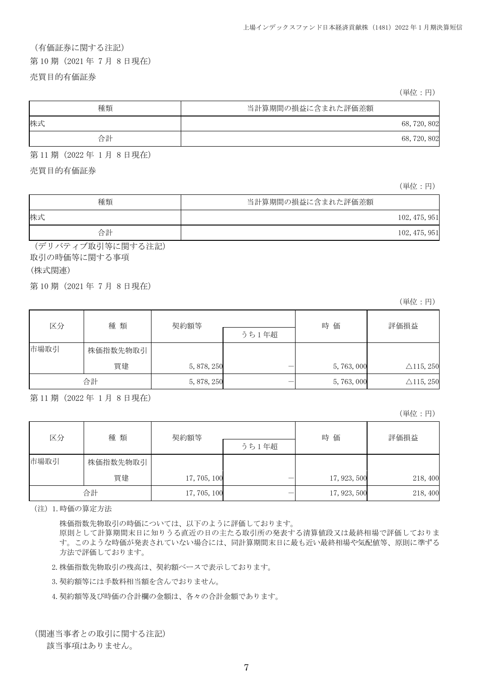## (有価証券に関する注記)

第 10 期(2021 年 7 月 8 日現在)

#### 売買目的有価証券

(単位:円)

| 種類 | 当計算期間の損益に含まれた評価差額 |
|----|-------------------|
| 株式 | 68, 720, 802      |
| 合計 | 68, 720, 802      |

第 11 期(2022 年 1 月 8 日現在)

売買目的有価証券

(単位:円)

| 種類 | 当計算期間の損益に含まれた評価差額 |
|----|-------------------|
| 株式 | 102, 475, 951     |
| 合計 | 102, 475, 951     |

(デリバティブ取引等に関する注記) 取引の時価等に関する事項

### (株式関連)

第 10 期(2021 年 7 月 8 日現在)

(単位:円)

| 区分   | 種類       | 契約額等        | うち1年超 | 時価          | 評価損益                 |
|------|----------|-------------|-------|-------------|----------------------|
| 市場取引 | 株価指数先物取引 |             |       |             |                      |
|      | 買建       | 5, 878, 250 |       | 5, 763, 000 | $\triangle$ 115, 250 |
|      | 合計       | 5, 878, 250 |       | 5, 763, 000 | $\triangle$ 115, 250 |

第 11 期(2022 年 1 月 8 日現在)

(単位:円)

| 区分   | 種類       | 契約額等         |       | 時価           | 評価損益     |
|------|----------|--------------|-------|--------------|----------|
|      |          |              | うち1年超 |              |          |
| 市場取引 | 株価指数先物取引 |              |       |              |          |
|      | 買建       | 17, 705, 100 |       | 17, 923, 500 | 218, 400 |
|      | 合計       | 17, 705, 100 |       | 17, 923, 500 | 218, 400 |

(注)1.時価の算定方法

株価指数先物取引の時価については、以下のように評価しております。

原則として計算期間末日に知りうる直近の日の主たる取引所の発表する清算値段又は最終相場で評価しておりま す。このような時価が発表されていない場合には、同計算期間末日に最も近い最終相場や気配値等、原則に準ずる 方法で評価しております。

2.株価指数先物取引の残高は、契約額ベースで表示しております。

3.契約額等には手数料相当額を含んでおりません。

4.契約額等及び時価の合計欄の金額は、各々の合計金額であります。

(関連当事者との取引に関する注記)

該当事項はありません。